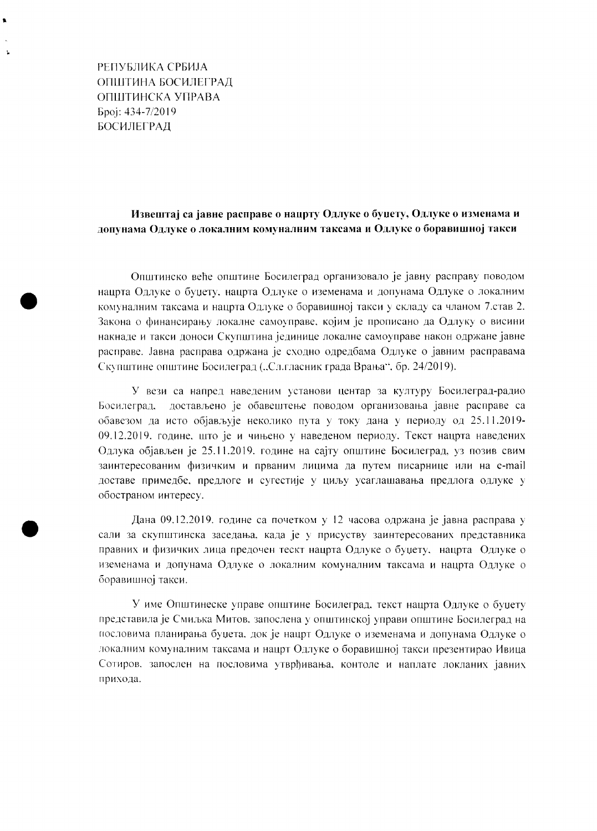РЕПУБЛИКА СРБИЈА ОПШТИНА БОСИЛЕГРАД ОПШТИНСКА УПРАВА Број: 434-7/2019 **БОСИЛЕГРАД** 

## Извештај са јавне расправе о нацрту Одлуке о буџету, Одлуке о изменама и допунама Одлуке о локалним комуналним таксама и Одлуке о боравишној такси

Општинско веће општине Босилеград организовало је јавну расправу поводом нацрта Одлуке о буџету, нацрта Одлуке о иземенама и допунама Одлуке о локалним комуналним таксама и нацрта Одлуке о боравишној такси у складу са чланом 7.став 2. Закона о финансирању локалне самоуправе, којим је прописано да Одлуку о висини накнаде и такси доноси Скупштина јединице локалне самоуправе након одржане јавне расправе. Јавна расправа одржана је сходно одредбама Одлуке о јавним расправама Скупштине општине Босилеград ("Сл.гласник града Врања", бр. 24/2019).

У вези са напред наведеним установи центар за културу Босилеград-радио достављено је обавештење поводом организовања јавне расправе са Босилеград. обавезом да исто објављује неколико пута у току дана у периоду од 25.11.2019-09.12.2019. године, што је и чињено у наведеном периоду. Текст нацрта наведених Одлука објављен је 25.11.2019. године на сајту општине Босилеград, уз позив свим заинтересованим физичким и прваним лицима да путем писарнице или на e-mail доставе примедбе, предлоге и сугестије у циљу усаглашавања предлога одлуке у обостраном интересу.

Дана 09.12.2019. године са почетком у 12 часова одржана је јавна расправа у сали за скупштинска заседања, када је у присуству заинтересованих представника правних и физичких лица предочен тескт нацрта Одлуке о буџету, нацрта Одлуке о иземенама и допунама Одлуке о локалним комуналним таксама и нацрта Одлуке о боравишној такси.

У име Општинеске управе општине Босилеград, текст нацрта Одлуке о буџету представила је Смиљка Митов, запослена у општинској управи општине Босилеград на пословима планирања буџета, док је нацрт Одлуке о иземенама и допунама Одлуке о локалним комуналним таксама и нацрт Одлуке о боравишној такси презентирао Ивица Сотиров, запослен на пословима утврђивања, контоле и наплате локланих јавних прихода.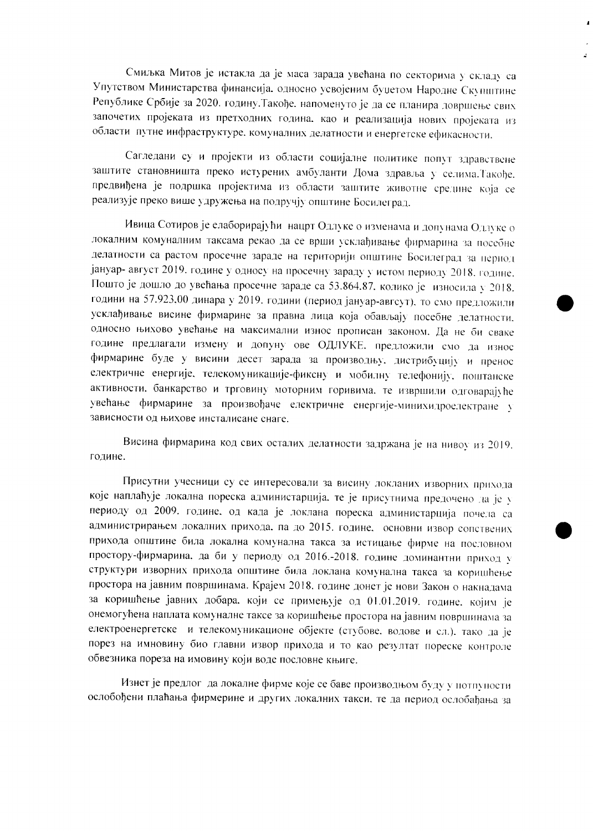Смиљка Митов је истакла да је маса зарада увећана по секторима у складу са Упутством Министарства финансија. односно усвојеним буџетом Народне Скупштине Републике Србије за 2020. годину. Такође. напоменуто је да се планира довршење свих започетих пројеката из претходних година, као и реализација нових пројеката из области путне инфраструктуре, комуналних делатности и енергетске ефикасности.

Сагледани су и пројекти из области социјалне политике попут здравствене заштите становништа преко истурених амбуланти Дома здравља у селима. Такође. предвиђена је подршка пројектима из области заштите животне средине која се реализује преко више удружења на подручју општине Босилеград.

Ивица Сотиров је елаборирајући нацрт Одлуке о изменама и допунама Одлуке о локалним комуналним таксама рекао да се врши усклађивање фирмарина за посебне делатности са растом просечне зараде на територији општине Босилеград за период јануар- август 2019. године у односу на просечну зараду у истом периоду 2018. године. Пошто је дошло до увећања просечне зараде са 53.864.87, колико је износила у 2018. години на 57.923,00 динара у 2019. години (период јануар-авгсут), то смо предложили усклађивање висине фирмарине за правна лица која обављају посебне делатности. односно њихово увећање на максимални износ прописан законом. Да не би сваке године предлагали измену и допуну ове ОДЛУКЕ, предложили смо да износ фирмарине буде у висини десет зарада за производњу, дистрибуцију и пренос електричне енергије, телекомуникације-фиксну и мобилну телефонију, поштанске активности. банкарство и трговину моторним горивима, те извршили одговарајуће увећање фирмарине за произвођаче електричне енергије-минихидроелектране у зависности од њихове инсталисане снаге.

Висина фирмарина код свих осталих делатности задржана је на нивоу из 2019. године.

Присутни учесници су се интересовали за висину локланих изворних прихода које наплаћује локална пореска администарција, те је присутнима предочено да је у периоду од 2009. године, од када је локлана пореска администарција почела са администрирањем локалних прихода. па до 2015. године. основни извор сопствених прихода општине била локална комунална такса за истицање фирме на пословном простору-фирмарина, да би у периоду од 2016.-2018. године доминантни приход у структури изворних прихода општине била локлана комунална такса за коришћење простора на јавним површинама. Крајем 2018. године донет је нови Закон о накнадама за коришћење јавних добара, који се примењује од 01.01.2019. године, којим је онемогућена наплата комуналне таксе за коришћење простора на јавним површинама за електроенергетске и телекомуникационе објекте (стубове. водове и сл.). тако да је порез на имновину био главни извор прихода и то као резултат пореске контроле обвезника пореза на имовину који воде пословне књиге.

Изнет је предлог да локалне фирме које се баве производњом буду у потпуности ослобођени плаћања фирмерине и других локалних такси, те да период ослобађања за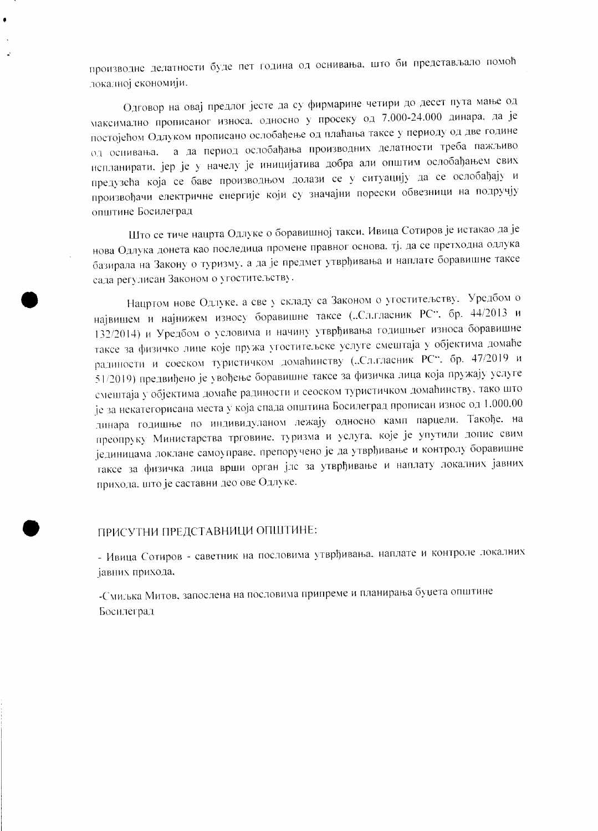производне делатности буде пет година од оснивања, што би представљало помоћ локалној економији.

Одговор на овај предлог јесте да су фирмарине четири до десет пута мање од максимално прописаног износа, односно у просеку од 7.000-24.000 динара, да је постојећом Одлуком прописано ослобађење од плаћања таксе у периоду од две године од оснивања, а да период ослобађања производних делатности треба пажљиво нспланирати, јер је у начелу је иницијатива добра али општим ослобађањем свих предузећа која се баве производњом долази се у ситуацију да се ослобађају и произвођачи електричне енергије који су значајни порески обвезници на подручју општине Босилеград

Што се тиче нацрта Одлуке о боравишној такси. Ивица Сотиров је истакао да је нова Одлука донета као последица промене правног основа, тј. да се претходна одлука базирала на Закону о туризму, а да је предмет утврђивања и наплате боравишне таксе сада регулисан Законом о угоститељству.

Нацртом нове Одлуке, а све у складу са Законом о угоститељству. Уредбом о највишем и најнижем износу боравишне таксе ("Сл.гласник РС", бр. 44/2013 и 132/2014) и Уредбом о условима и начину утврђивања годишњег износа боравишне таксе за физичко лице које пружа угоститељске услуге смештаја у објектима домаће радиности и соеском туристичком домаћинству ("Сл.гласник РС". бр. 47/2019 и 51/2019) предвиђено је увођење боравишне таксе за физичка лица која пружају услуге смештаја у објектима домаће радиности и сеоском туристичком домаћинству, тако што је за некатегорисана места у која спада општина Босилеград прописан износ од 1.000.00 динара годишње по индивидуланом лежају односно камп парцели. Такође, на преопруку Министарства трговине. туризма и услуга, које је упутили допис свим јединицама локлане самоуправе, препоручено је да утврђивање и контролу боравишне таксе за физичка лица врши орган јлс за утврђивање и наплату локалних јавних прихода, што је саставни део ове Одлуке.

## ПРИСУТНИ ПРЕДСТАВНИЦИ ОПШТИНЕ:

- Ивица Сотиров - саветник на пословима утврђивања, наплате и контроле локалних јавних прихода,

-Смиљка Митов, запослена на пословима припреме и планирања буџета општине Босилеград